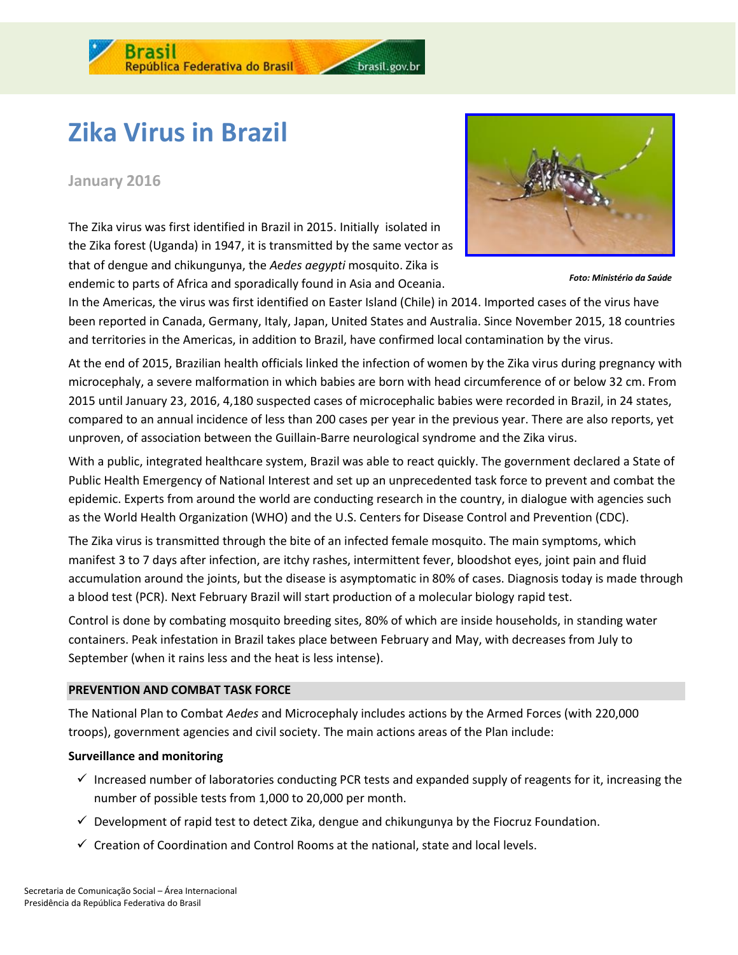

# **Zika Virus in Brazil**

## **January 2016**

The Zika virus was first identified in Brazil in 2015. Initially isolated in the Zika forest (Uganda) in 1947, it is transmitted by the same vector as that of dengue and chikungunya, the *Aedes aegypti* mosquito. Zika is endemic to parts of Africa and sporadically found in Asia and Oceania.



*Foto: Ministério da Saúde*

In the Americas, the virus was first identified on Easter Island (Chile) in 2014. Imported cases of the virus have been reported in Canada, Germany, Italy, Japan, United States and Australia. Since November 2015, 18 countries and territories in the Americas, in addition to Brazil, have confirmed local contamination by the virus.

brasil.gov.br

At the end of 2015, Brazilian health officials linked the infection of women by the Zika virus during pregnancy with microcephaly, a severe malformation in which babies are born with head circumference of or below 32 cm. From 2015 until January 23, 2016, 4,180 suspected cases of microcephalic babies were recorded in Brazil, in 24 states, compared to an annual incidence of less than 200 cases per year in the previous year. There are also reports, yet unproven, of association between the Guillain-Barre neurological syndrome and the Zika virus.

With a public, integrated healthcare system, Brazil was able to react quickly. The government declared a State of Public Health Emergency of National Interest and set up an unprecedented task force to prevent and combat the epidemic. Experts from around the world are conducting research in the country, in dialogue with agencies such as the World Health Organization (WHO) and the U.S. Centers for Disease Control and Prevention (CDC).

The Zika virus is transmitted through the bite of an infected female mosquito. The main symptoms, which manifest 3 to 7 days after infection, are itchy rashes, intermittent fever, bloodshot eyes, joint pain and fluid accumulation around the joints, but the disease is asymptomatic in 80% of cases. Diagnosis today is made through a blood test (PCR). Next February Brazil will start production of a molecular biology rapid test.

Control is done by combating mosquito breeding sites, 80% of which are inside households, in standing water containers. Peak infestation in Brazil takes place between February and May, with decreases from July to September (when it rains less and the heat is less intense).

### **PREVENTION AND COMBAT TASK FORCE**

The National Plan to Combat *Aedes* and Microcephaly includes actions by the Armed Forces (with 220,000 troops), government agencies and civil society. The main actions areas of the Plan include:

#### **Surveillance and monitoring**

- $\checkmark$  Increased number of laboratories conducting PCR tests and expanded supply of reagents for it, increasing the number of possible tests from 1,000 to 20,000 per month.
- $\checkmark$  Development of rapid test to detect Zika, dengue and chikungunya by the Fiocruz Foundation.
- $\checkmark$  Creation of Coordination and Control Rooms at the national, state and local levels.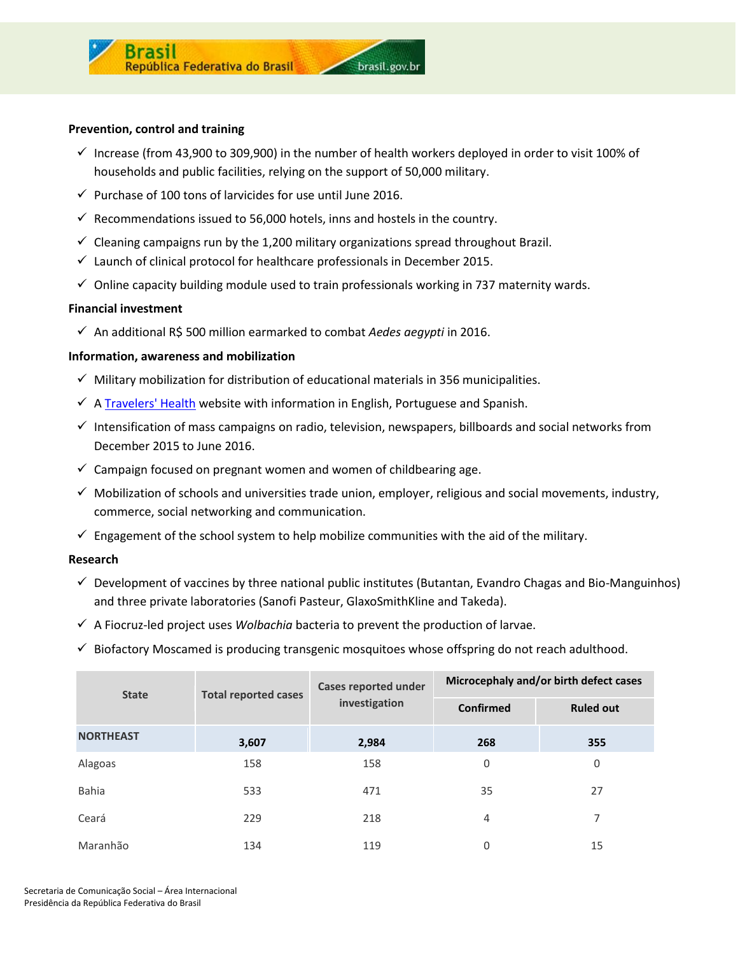

#### **Prevention, control and training**

 $\checkmark$  Increase (from 43,900 to 309,900) in the number of health workers deployed in order to visit 100% of households and public facilities, relying on the support of 50,000 military.

brasil.gov.br

- $\checkmark$  Purchase of 100 tons of larvicides for use until June 2016.
- $\checkmark$  Recommendations issued to 56,000 hotels, inns and hostels in the country.
- $\checkmark$  Cleaning campaigns run by the 1,200 military organizations spread throughout Brazil.
- $\checkmark$  Launch of clinical protocol for healthcare professionals in December 2015.
- $\checkmark$  Online capacity building module used to train professionals working in 737 maternity wards.

#### **Financial investment**

An additional R\$ 500 million earmarked to combat *Aedes aegypti* in 2016.

#### **Information, awareness and mobilization**

- $\checkmark$  Military mobilization for distribution of educational materials in 356 municipalities.
- $\checkmark$  A [Travelers' Health](http://portalsaude.saude.gov.br/index.php/cidadao/principal/english) website with information in English, Portuguese and Spanish.
- $\checkmark$  Intensification of mass campaigns on radio, television, newspapers, billboards and social networks from December 2015 to June 2016.
- $\checkmark$  Campaign focused on pregnant women and women of childbearing age.
- $\checkmark$  Mobilization of schools and universities trade union, employer, religious and social movements, industry, commerce, social networking and communication.
- $\checkmark$  Engagement of the school system to help mobilize communities with the aid of the military.

#### **Research**

- $\checkmark$  Development of vaccines by three national public institutes (Butantan, Evandro Chagas and Bio-Manguinhos) and three private laboratories (Sanofi Pasteur, GlaxoSmithKline and Takeda).
- $\checkmark$  A Fiocruz-led project uses *Wolbachia* bacteria to prevent the production of larvae.
- $\checkmark$  Biofactory Moscamed is producing transgenic mosquitoes whose offspring do not reach adulthood.

| <b>State</b>     | <b>Total reported cases</b> | <b>Cases reported under</b><br>investigation | Microcephaly and/or birth defect cases |                  |
|------------------|-----------------------------|----------------------------------------------|----------------------------------------|------------------|
|                  |                             |                                              | <b>Confirmed</b>                       | <b>Ruled out</b> |
| <b>NORTHEAST</b> | 3,607                       | 2,984                                        | 268                                    | 355              |
| Alagoas          | 158                         | 158                                          | 0                                      | 0                |
| Bahia            | 533                         | 471                                          | 35                                     | 27               |
| Ceará            | 229                         | 218                                          | 4                                      | 7                |
| Maranhão         | 134                         | 119                                          | 0                                      | 15               |